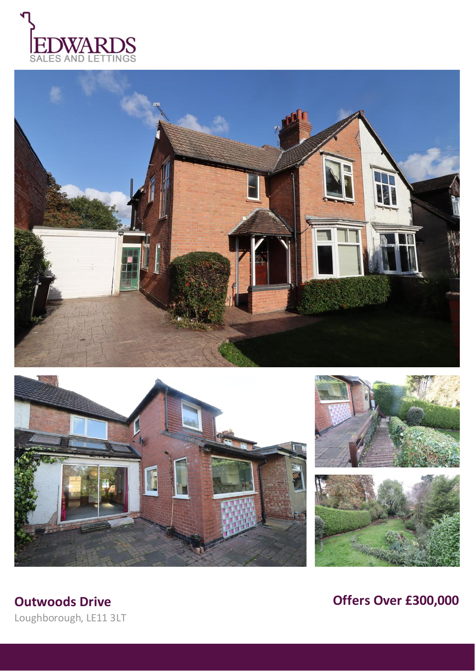









Loughborough, LE11 3LT

**Outwoods Drive Outwoods Drive** *Outwoods Drive Offers Over £300,000*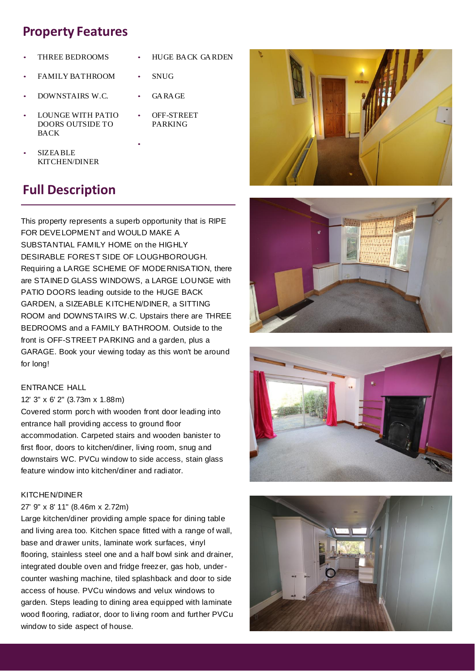## **Property Features**

- THREE BEDROOMS • HUGE BACK GARDEN
- FAMILY BATHROOM • SNUG
- DOWNSTAIRS W.C. GARAGE
- LOUNGE WITH PATIO DOORS OUTSIDE TO BACK
- OFF-STREET PARKING

•

• SIZEABLE KITCHEN/DINER

# **Full Description**

This property represents a superb opportunity that is RIPE FOR DEVELOPMENT and WOULD MAKE A SUBSTANTIAL FAMILY HOME on the HIGHLY DESIRABLE FOREST SIDE OF LOUGHBOROUGH. Requiring a LARGE SCHEME OF MODERNISATION, there are STAINED GLASS WINDOWS, a LARGE LOUNGE with PATIO DOORS leading outside to the HUGE BACK GARDEN, a SIZEABLE KITCHEN/DINER, a SITTING ROOM and DOWNSTAIRS W.C. Upstairs there are THREE BEDROOMS and a FAMILY BATHROOM. Outside to the front is OFF-STREET PARKING and a garden, plus a GARAGE. Book your viewing today as this won't be around for long!

## ENTRANCE HALL

## 12' 3" x 6' 2" (3.73m x 1.88m)

Covered storm porch with wooden front door leading into entrance hall providing access to ground floor accommodation. Carpeted stairs and wooden banister to first floor, doors to kitchen/diner, living room, snug and downstairs WC. PVCu window to side access, stain glass feature window into kitchen/diner and radiator.

## KITCHEN/DINER

## 27' 9" x 8' 11" (8.46m x 2.72m)

Large kitchen/diner providing ample space for dining table and living area too. Kitchen space fitted with a range of wall, base and drawer units, laminate work surfaces, vinyl flooring, stainless steel one and a half bowl sink and drainer, integrated double oven and fridge freezer, gas hob, undercounter washing machine, tiled splashback and door to side access of house. PVCu windows and velux windows to garden. Steps leading to dining area equipped with laminate wood flooring, radiator, door to living room and further PVCu window to side aspect of house.







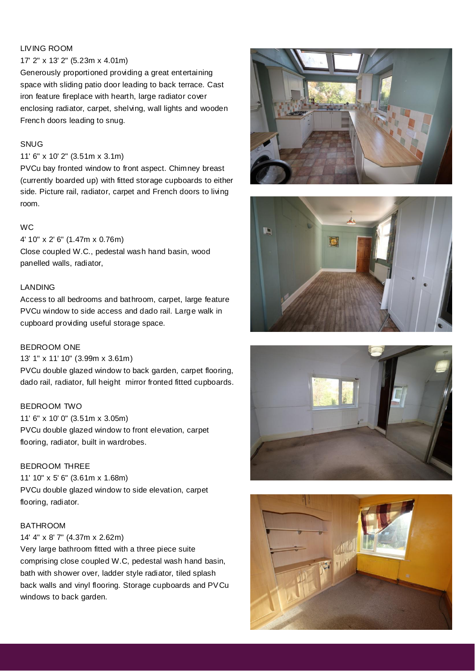## LIVING ROOM

#### 17' 2" x 13' 2" (5.23m x 4.01m)

Generously proportioned providing a great entertaining space with sliding patio door leading to back terrace. Cast iron feature fireplace with hearth, large radiator cover enclosing radiator, carpet, shelving, wall lights and wooden French doors leading to snug.

## SNUG

#### 11' 6" x 10' 2" (3.51m x 3.1m)

PVCu bay fronted window to front aspect. Chimney breast (currently boarded up) with fitted storage cupboards to either side. Picture rail, radiator, carpet and French doors to living room.

#### WC

4' 10" x 2' 6" (1.47m x 0.76m) Close coupled W.C., pedestal wash hand basin, wood panelled walls, radiator,

## LANDING

Access to all bedrooms and bathroom, carpet, large feature PVCu window to side access and dado rail. Large walk in cupboard providing useful storage space.

#### BEDROOM ONE

13' 1" x 11' 10" (3.99m x 3.61m)

PVCu double glazed window to back garden, carpet flooring, dado rail, radiator, full height mirror fronted fitted cupboards.

## BEDROOM TWO

11' 6" x 10' 0" (3.51m x 3.05m) PVCu double glazed window to front elevation, carpet flooring, radiator, built in wardrobes.

## BEDROOM THREE

11' 10" x 5' 6" (3.61m x 1.68m) PVCu double glazed window to side elevation, carpet flooring, radiator.

#### BATHROOM

#### 14' 4" x 8' 7" (4.37m x 2.62m)

Very large bathroom fitted with a three piece suite comprising close coupled W.C, pedestal wash hand basin, bath with shower over, ladder style radiator, tiled splash back walls and vinyl flooring. Storage cupboards and PVCu windows to back garden.